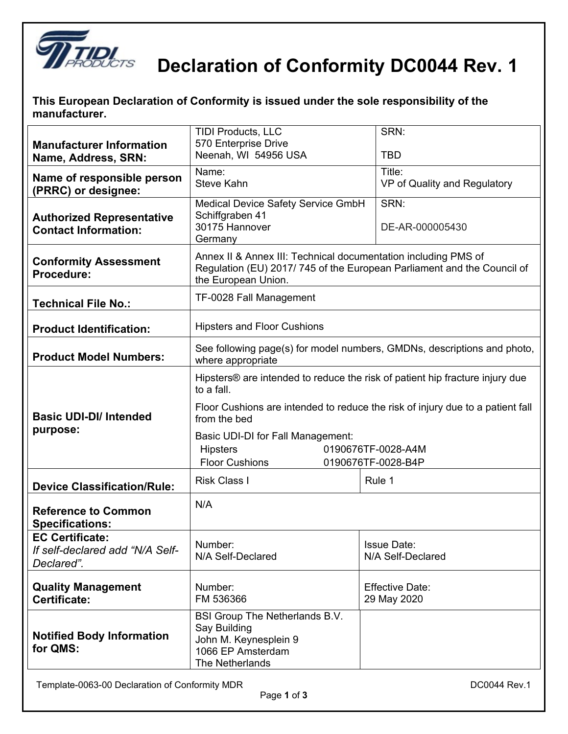

## **Declaration of Conformity DC0044 Rev. 1**

| This European Declaration of Conformity is issued under the sole responsibility of the |  |
|----------------------------------------------------------------------------------------|--|
| manufacturer.                                                                          |  |

| <b>Manufacturer Information</b><br>Name, Address, SRN:                  | <b>TIDI Products, LLC</b><br>570 Enterprise Drive<br>Neenah, WI 54956 USA                                                                                       | SRN:<br><b>TBD</b>                      |  |  |
|-------------------------------------------------------------------------|-----------------------------------------------------------------------------------------------------------------------------------------------------------------|-----------------------------------------|--|--|
| Name of responsible person<br>(PRRC) or designee:                       | Name:<br>Title:<br><b>Steve Kahn</b><br>VP of Quality and Regulatory                                                                                            |                                         |  |  |
| <b>Authorized Representative</b><br><b>Contact Information:</b>         | Medical Device Safety Service GmbH<br>Schiffgraben 41<br>30175 Hannover<br>Germany                                                                              | SRN:<br>DE-AR-000005430                 |  |  |
| <b>Conformity Assessment</b><br>Procedure:                              | Annex II & Annex III: Technical documentation including PMS of<br>Regulation (EU) 2017/745 of the European Parliament and the Council of<br>the European Union. |                                         |  |  |
| <b>Technical File No.:</b>                                              | TF-0028 Fall Management                                                                                                                                         |                                         |  |  |
| <b>Product Identification:</b>                                          | <b>Hipsters and Floor Cushions</b>                                                                                                                              |                                         |  |  |
| <b>Product Model Numbers:</b>                                           | See following page(s) for model numbers, GMDNs, descriptions and photo,<br>where appropriate                                                                    |                                         |  |  |
| <b>Basic UDI-DI/ Intended</b><br>purpose:                               | Hipsters <sup>®</sup> are intended to reduce the risk of patient hip fracture injury due<br>to a fall.                                                          |                                         |  |  |
|                                                                         | Floor Cushions are intended to reduce the risk of injury due to a patient fall<br>from the bed                                                                  |                                         |  |  |
|                                                                         | Basic UDI-DI for Fall Management:<br><b>Hipsters</b><br>0190676TF-0028-A4M<br><b>Floor Cushions</b><br>0190676TF-0028-B4P                                       |                                         |  |  |
| <b>Device Classification/Rule:</b>                                      | <b>Risk Class I</b><br>Rule 1                                                                                                                                   |                                         |  |  |
| <b>Reference to Common</b><br><b>Specifications:</b>                    | N/A                                                                                                                                                             |                                         |  |  |
| <b>EC Certificate:</b><br>If self-declared add "N/A Self-<br>Declared". | Number:<br>N/A Self-Declared                                                                                                                                    | <b>Issue Date:</b><br>N/A Self-Declared |  |  |
| <b>Quality Management</b><br>Certificate:                               | Number:<br>FM 536366                                                                                                                                            | <b>Effective Date:</b><br>29 May 2020   |  |  |
| <b>Notified Body Information</b><br>for QMS:                            | BSI Group The Netherlands B.V.<br>Say Building<br>John M. Keynesplein 9<br>1066 EP Amsterdam<br>The Netherlands                                                 |                                         |  |  |

 $\overline{\phantom{a}}$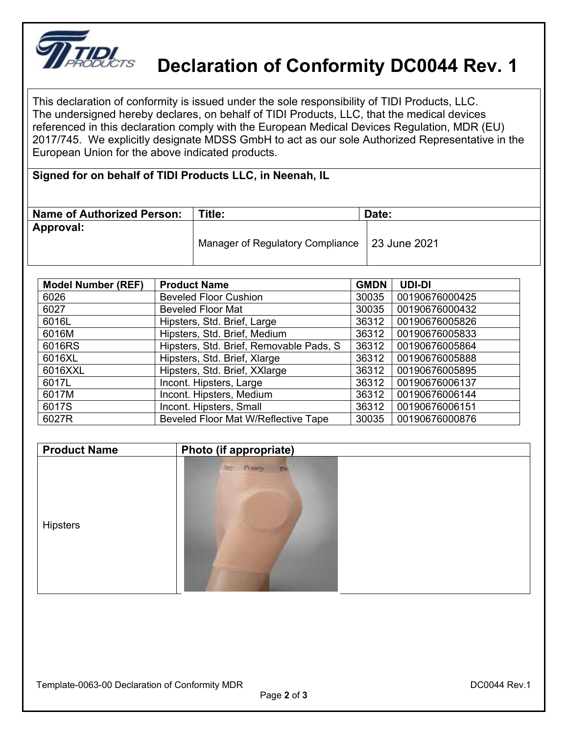

## **Declaration of Conformity DC0044 Rev. 1**

This declaration of conformity is issued under the sole responsibility of TIDI Products, LLC. The undersigned hereby declares, on behalf of TIDI Products, LLC, that the medical devices referenced in this declaration comply with the European Medical Devices Regulation, MDR (EU) 2017/745. We explicitly designate MDSS GmbH to act as our sole Authorized Representative in the European Union for the above indicated products.

## **Signed for on behalf of TIDI Products LLC, in Neenah, IL**

| <b>Name of Authorized Person:</b> | Title:                                          | Date: |
|-----------------------------------|-------------------------------------------------|-------|
| Approval:                         | Manager of Regulatory Compliance   23 June 2021 |       |

| <b>Model Number (REF)</b> | <b>Product Name</b>                     | <b>GMDN</b> | <b>UDI-DI</b>  |
|---------------------------|-----------------------------------------|-------------|----------------|
| 6026                      | <b>Beveled Floor Cushion</b>            | 30035       | 00190676000425 |
| 6027                      | <b>Beveled Floor Mat</b>                | 30035       | 00190676000432 |
| 6016L                     | Hipsters, Std. Brief, Large             | 36312       | 00190676005826 |
| 6016M                     | Hipsters, Std. Brief, Medium            | 36312       | 00190676005833 |
| 6016RS                    | Hipsters, Std. Brief, Removable Pads, S | 36312       | 00190676005864 |
| 6016XL                    | Hipsters, Std. Brief, Xlarge            | 36312       | 00190676005888 |
| 6016XXL                   | Hipsters, Std. Brief, XXlarge           | 36312       | 00190676005895 |
| 6017L                     | Incont. Hipsters, Large                 | 36312       | 00190676006137 |
| 6017M                     | Incont. Hipsters, Medium                | 36312       | 00190676006144 |
| 6017S                     | Incont. Hipsters, Small                 | 36312       | 00190676006151 |
| 6027R                     | Beveled Floor Mat W/Reflective Tape     | 30035       | 00190676000876 |

| <b>Product Name</b> | Photo (if appropriate) |  |
|---------------------|------------------------|--|
|                     | Posey<br><b>Nor</b>    |  |
| <b>Hipsters</b>     |                        |  |
|                     |                        |  |

 $\overline{\phantom{a}}$